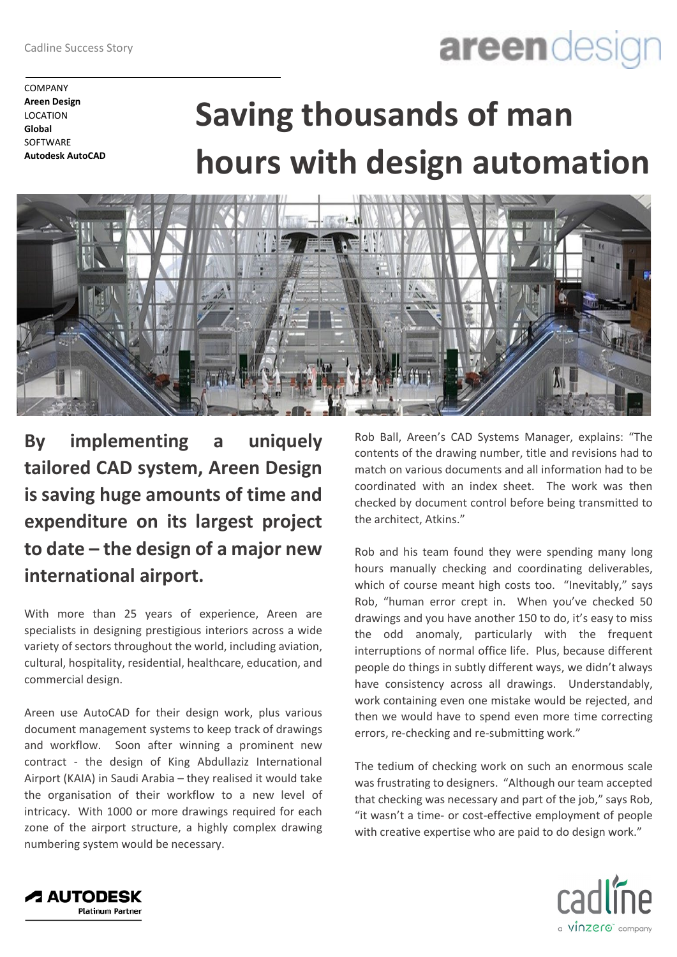## areendesig

COMPANY **Areen Design** LOCATION **Global SOFTWARE Autodesk AutoCAD**

## **Saving thousands of man hours with design automation**



**By implementing a uniquely tailored CAD system, Areen Design is saving huge amounts of time and expenditure on its largest project to date – the design of a major new international airport.**

With more than 25 years of experience, Areen are specialists in designing prestigious interiors across a wide variety of sectors throughout the world, including aviation, cultural, hospitality, residential, healthcare, education, and commercial design.

Areen use AutoCAD for their design work, plus various document management systems to keep track of drawings and workflow. Soon after winning a prominent new contract - the design of King Abdullaziz International Airport (KAIA) in Saudi Arabia – they realised it would take the organisation of their workflow to a new level of intricacy. With 1000 or more drawings required for each zone of the airport structure, a highly complex drawing numbering system would be necessary.

Rob Ball, Areen's CAD Systems Manager, explains: "The contents of the drawing number, title and revisions had to match on various documents and all information had to be coordinated with an index sheet. The work was then checked by document control before being transmitted to the architect, Atkins."

Rob and his team found they were spending many long hours manually checking and coordinating deliverables, which of course meant high costs too. "Inevitably," says Rob, "human error crept in. When you've checked 50 drawings and you have another 150 to do, it's easy to miss the odd anomaly, particularly with the frequent interruptions of normal office life. Plus, because different people do things in subtly different ways, we didn't always have consistency across all drawings. Understandably, work containing even one mistake would be rejected, and then we would have to spend even more time correcting errors, re-checking and re-submitting work."

The tedium of checking work on such an enormous scale was frustrating to designers. "Although our team accepted that checking was necessary and part of the job," says Rob, "it wasn't a time- or cost-effective employment of people with creative expertise who are paid to do design work."